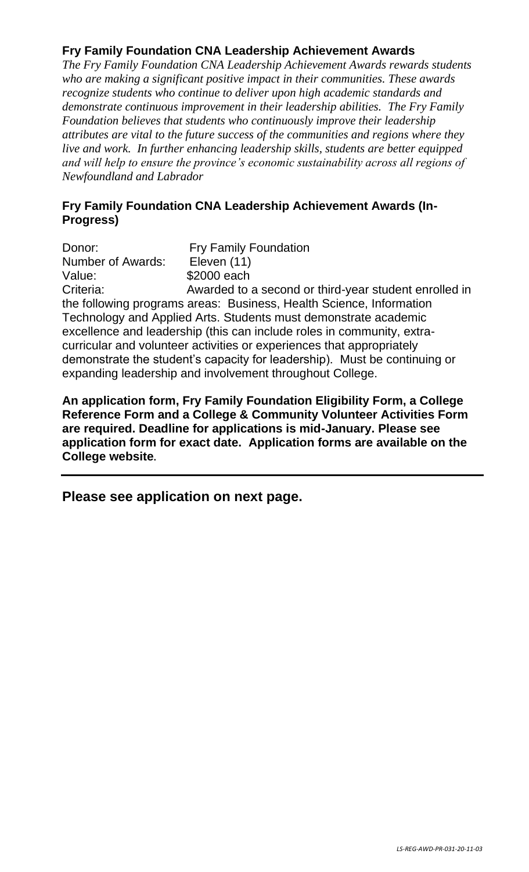## **Fry Family Foundation CNA Leadership Achievement Awards**

*The Fry Family Foundation CNA Leadership Achievement Awards rewards students who are making a significant positive impact in their communities. These awards recognize students who continue to deliver upon high academic standards and demonstrate continuous improvement in their leadership abilities. The Fry Family Foundation believes that students who continuously improve their leadership attributes are vital to the future success of the communities and regions where they live and work. In further enhancing leadership skills, students are better equipped and will help to ensure the province's economic sustainability across all regions of Newfoundland and Labrador*

## **Fry Family Foundation CNA Leadership Achievement Awards (In-Progress)**

Donor: Fry Family Foundation Number of Awards: Eleven (11) Value: \$2000 each Criteria: Awarded to a second or third-year student enrolled in the following programs areas: Business, Health Science, Information Technology and Applied Arts. Students must demonstrate academic excellence and leadership (this can include roles in community, extracurricular and volunteer activities or experiences that appropriately demonstrate the student's capacity for leadership). Must be continuing or expanding leadership and involvement throughout College.

**An application form, Fry Family Foundation Eligibility Form, a College Reference Form and a College & Community Volunteer Activities Form are required. Deadline for applications is mid-January. Please see application form for exact date. Application forms are available on the College website.**

**Please see application on next page.**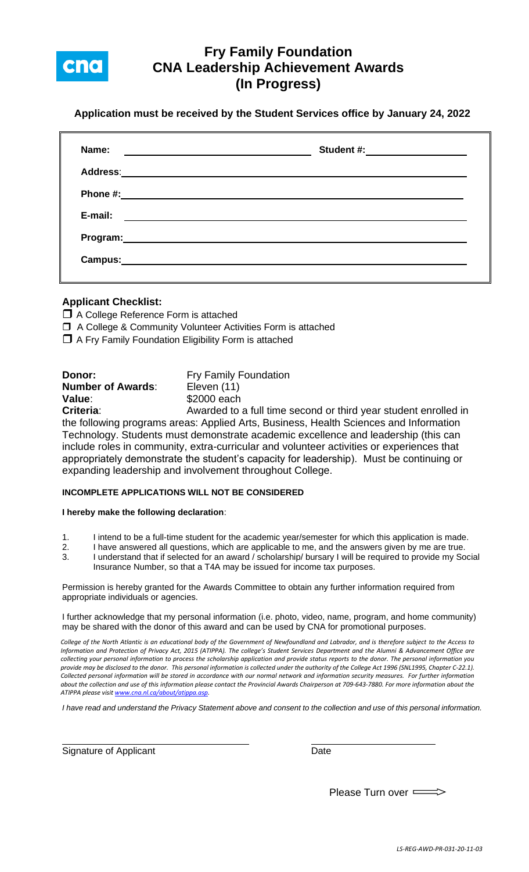

# **Fry Family Foundation CNA Leadership Achievement Awards (In Progress)**

**Application must be received by the Student Services office by January 24, 2022**

| Name:<br><u> Alexandro Alexandro Alexandro Alexandro Alexandro Alexandro Alexandro Alexandro Alexandro Alexandro Alexandro </u> | Student #: ___ ___ _____________              |
|---------------------------------------------------------------------------------------------------------------------------------|-----------------------------------------------|
|                                                                                                                                 |                                               |
|                                                                                                                                 |                                               |
| E-mail:                                                                                                                         | <u> 1989 - Andrea Andrew Maria (h. 1989).</u> |
|                                                                                                                                 |                                               |
| Campus:                                                                                                                         |                                               |
|                                                                                                                                 |                                               |

### **Applicant Checklist:**

□ A College Reference Form is attached

A College & Community Volunteer Activities Form is attached

 $\Box$  A Fry Family Foundation Eligibility Form is attached

| Donor:                   | <b>Fry Family Foundation</b>                                    |
|--------------------------|-----------------------------------------------------------------|
| <b>Number of Awards:</b> | Eleven (11)                                                     |
| Value:                   | \$2000 each                                                     |
| Criteria:                | Awarded to a full time second or third year student enrolled in |
|                          |                                                                 |

the following programs areas: Applied Arts, Business, Health Sciences and Information Technology. Students must demonstrate academic excellence and leadership (this can include roles in community, extra-curricular and volunteer activities or experiences that appropriately demonstrate the student's capacity for leadership). Must be continuing or expanding leadership and involvement throughout College.

#### **INCOMPLETE APPLICATIONS WILL NOT BE CONSIDERED**

#### **I hereby make the following declaration**:

- 1. I intend to be a full-time student for the academic year/semester for which this application is made.
- 2. I have answered all questions, which are applicable to me, and the answers given by me are true. 3. I understand that if selected for an award / scholarship/ bursary I will be required to provide my Social Insurance Number, so that a T4A may be issued for income tax purposes.

Permission is hereby granted for the Awards Committee to obtain any further information required from appropriate individuals or agencies.

I further acknowledge that my personal information (i.e. photo, video, name, program, and home community) may be shared with the donor of this award and can be used by CNA for promotional purposes.

*College of the North Atlantic is an educational body of the Government of Newfoundland and Labrador, and is therefore subject to the Access to Information and Protection of Privacy Act, 2015 (ATIPPA). The college's Student Services Department and the Alumni & Advancement Office are collecting your personal information to process the scholarship application and provide status reports to the donor. The personal information you provide may be disclosed to the donor. This personal information is collected under the authority of the College Act 1996 (SNL1995, Chapter C-22.1). Collected personal information will be stored in accordance with our normal network and information security measures. For further information*  about the collection and use of this information please contact the Provincial Awards Chairperson at 709-643-7880. For more information about the *ATIPPA please visi[t www.cna.nl.ca/about/atippa.asp.](http://www.cna.nl.ca/about/atippa.asp)*

*I have read and understand the Privacy Statement above and consent to the collection and use of this personal information.*

Signature of Applicant Date Date Date

| Please Turn over |  |  |  |
|------------------|--|--|--|
|------------------|--|--|--|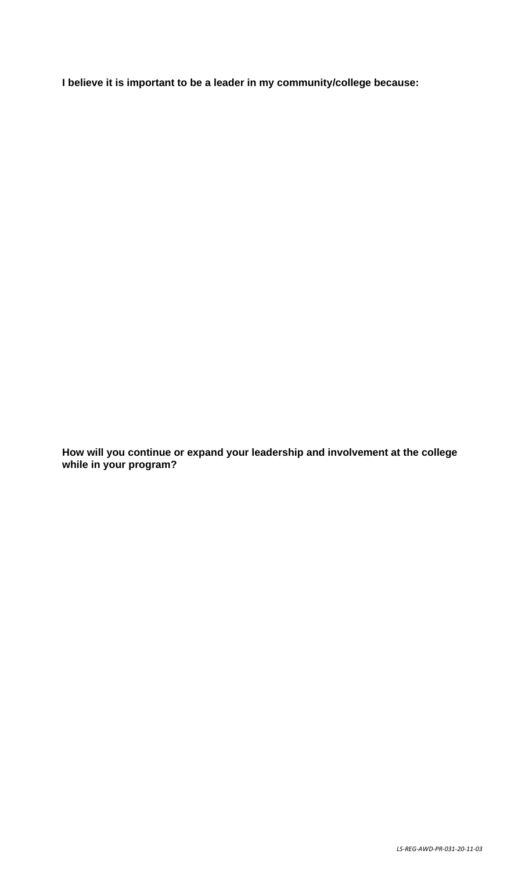**I believe it is important to be a leader in my community/college because:**

**How will you continue or expand your leadership and involvement at the college while in your program?**